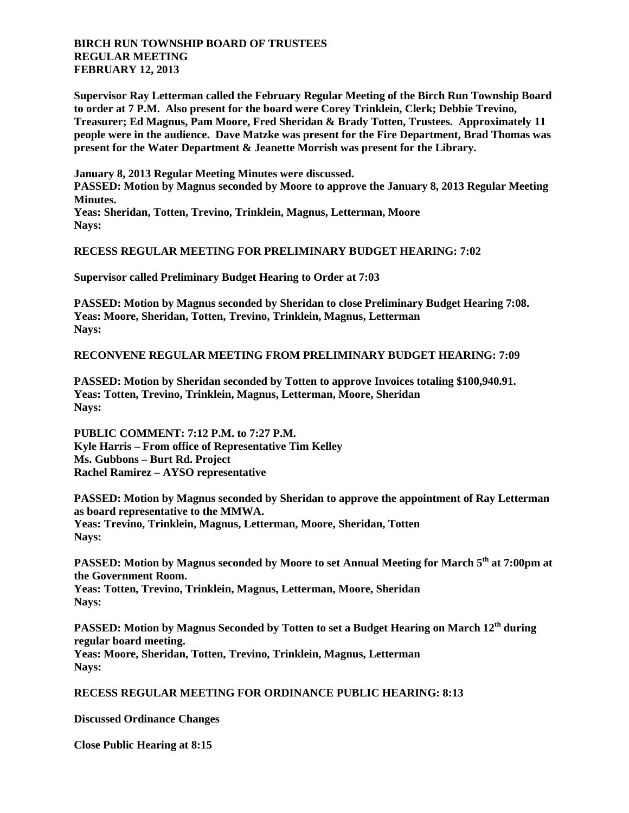# **BIRCH RUN TOWNSHIP BOARD OF TRUSTEES REGULAR MEETING FEBRUARY 12, 2013**

**Supervisor Ray Letterman called the February Regular Meeting of the Birch Run Township Board to order at 7 P.M. Also present for the board were Corey Trinklein, Clerk; Debbie Trevino, Treasurer; Ed Magnus, Pam Moore, Fred Sheridan & Brady Totten, Trustees. Approximately 11 people were in the audience. Dave Matzke was present for the Fire Department, Brad Thomas was present for the Water Department & Jeanette Morrish was present for the Library.**

**January 8, 2013 Regular Meeting Minutes were discussed. PASSED: Motion by Magnus seconded by Moore to approve the January 8, 2013 Regular Meeting Minutes. Yeas: Sheridan, Totten, Trevino, Trinklein, Magnus, Letterman, Moore Nays:**

## **RECESS REGULAR MEETING FOR PRELIMINARY BUDGET HEARING: 7:02**

**Supervisor called Preliminary Budget Hearing to Order at 7:03**

**PASSED: Motion by Magnus seconded by Sheridan to close Preliminary Budget Hearing 7:08. Yeas: Moore, Sheridan, Totten, Trevino, Trinklein, Magnus, Letterman Nays:**

## **RECONVENE REGULAR MEETING FROM PRELIMINARY BUDGET HEARING: 7:09**

**PASSED: Motion by Sheridan seconded by Totten to approve Invoices totaling \$100,940.91. Yeas: Totten, Trevino, Trinklein, Magnus, Letterman, Moore, Sheridan Nays:**

**PUBLIC COMMENT: 7:12 P.M. to 7:27 P.M. Kyle Harris – From office of Representative Tim Kelley Ms. Gubbons – Burt Rd. Project Rachel Ramirez – AYSO representative**

**PASSED: Motion by Magnus seconded by Sheridan to approve the appointment of Ray Letterman as board representative to the MMWA. Yeas: Trevino, Trinklein, Magnus, Letterman, Moore, Sheridan, Totten Nays:**

**PASSED: Motion by Magnus seconded by Moore to set Annual Meeting for March 5th at 7:00pm at the Government Room. Yeas: Totten, Trevino, Trinklein, Magnus, Letterman, Moore, Sheridan Nays:**

**PASSED: Motion by Magnus Seconded by Totten to set a Budget Hearing on March 12th during regular board meeting. Yeas: Moore, Sheridan, Totten, Trevino, Trinklein, Magnus, Letterman Nays:**

#### **RECESS REGULAR MEETING FOR ORDINANCE PUBLIC HEARING: 8:13**

#### **Discussed Ordinance Changes**

**Close Public Hearing at 8:15**